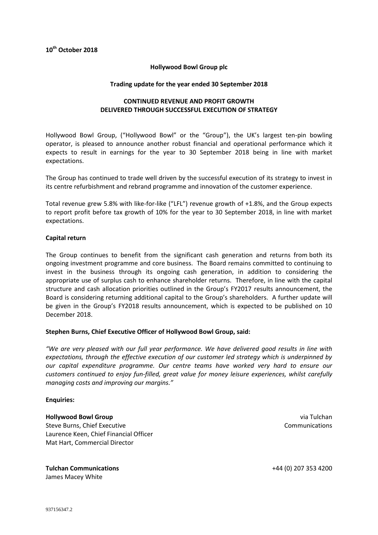## **Hollywood Bowl Group plc**

#### **Trading update for the year ended 30 September 2018**

# **CONTINUED REVENUE AND PROFIT GROWTH DELIVERED THROUGH SUCCESSFUL EXECUTION OF STRATEGY**

Hollywood Bowl Group, ("Hollywood Bowl" or the "Group"), the UK's largest ten-pin bowling operator, is pleased to announce another robust financial and operational performance which it expects to result in earnings for the year to 30 September 2018 being in line with market expectations.

The Group has continued to trade well driven by the successful execution of its strategy to invest in its centre refurbishment and rebrand programme and innovation of the customer experience.

Total revenue grew 5.8% with like-for-like ("LFL") revenue growth of +1.8%, and the Group expects to report profit before tax growth of 10% for the year to 30 September 2018, in line with market expectations.

## **Capital return**

The Group continues to benefit from the significant cash generation and returns from both its ongoing investment programme and core business. The Board remains committed to continuing to invest in the business through its ongoing cash generation, in addition to considering the appropriate use of surplus cash to enhance shareholder returns. Therefore, in line with the capital structure and cash allocation priorities outlined in the Group's FY2017 results announcement, the Board is considering returning additional capital to the Group's shareholders. A further update will be given in the Group's FY2018 results announcement, which is expected to be published on 10 December 2018.

## **Stephen Burns, Chief Executive Officer of Hollywood Bowl Group, said:**

*"We are very pleased with our full year performance. We have delivered good results in line with expectations, through the effective execution of our customer led strategy which is underpinned by our capital expenditure programme. Our centre teams have worked very hard to ensure our customers continued to enjoy fun-filled, great value for money leisure experiences, whilst carefully managing costs and improving our margins."* 

#### **Enquiries:**

## **Hollywood Bowl Group**

Steve Burns, Chief Executive Laurence Keen, Chief Financial Officer Mat Hart, Commercial Director

#### **Tulchan Communications** James Macey White

via Tulchan Communications

+44 (0) 207 353 4200